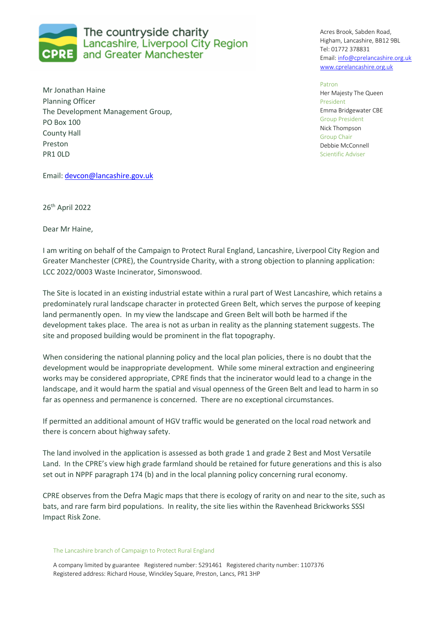

Mr Jonathan Haine Planning Officer The Development Management Group, PO Box 100 County Hall Preston PR1 0LD

Acres Brook, Sabden Road, Higham, Lancashire, BB12 9BL Tel: 01772 378831 Email: info@cprelancashire.org.uk www.cprelancashire.org.uk

Patron

Her Majesty The Queen President Emma Bridgewater CBE Group President Nick Thompson Group Chair Debbie McConnell Scientific Adviser

Email: devcon@lancashire.gov.uk

26th April 2022

Dear Mr Haine,

I am writing on behalf of the Campaign to Protect Rural England, Lancashire, Liverpool City Region and Greater Manchester (CPRE), the Countryside Charity, with a strong objection to planning application: LCC 2022/0003 Waste Incinerator, Simonswood.

The Site is located in an existing industrial estate within a rural part of West Lancashire, which retains a predominately rural landscape character in protected Green Belt, which serves the purpose of keeping land permanently open. In my view the landscape and Green Belt will both be harmed if the development takes place. The area is not as urban in reality as the planning statement suggests. The site and proposed building would be prominent in the flat topography.

When considering the national planning policy and the local plan policies, there is no doubt that the development would be inappropriate development. While some mineral extraction and engineering works may be considered appropriate, CPRE finds that the incinerator would lead to a change in the landscape, and it would harm the spatial and visual openness of the Green Belt and lead to harm in so far as openness and permanence is concerned. There are no exceptional circumstances.

If permitted an additional amount of HGV traffic would be generated on the local road network and there is concern about highway safety.

The land involved in the application is assessed as both grade 1 and grade 2 Best and Most Versatile Land. In the CPRE's view high grade farmland should be retained for future generations and this is also set out in NPPF paragraph 174 (b) and in the local planning policy concerning rural economy.

CPRE observes from the Defra Magic maps that there is ecology of rarity on and near to the site, such as bats, and rare farm bird populations. In reality, the site lies within the Ravenhead Brickworks SSSI Impact Risk Zone.

## The Lancashire branch of Campaign to Protect Rural England

A company limited by guarantee Registered number: 5291461 Registered charity number: 1107376 Registered address: Richard House, Winckley Square, Preston, Lancs, PR1 3HP